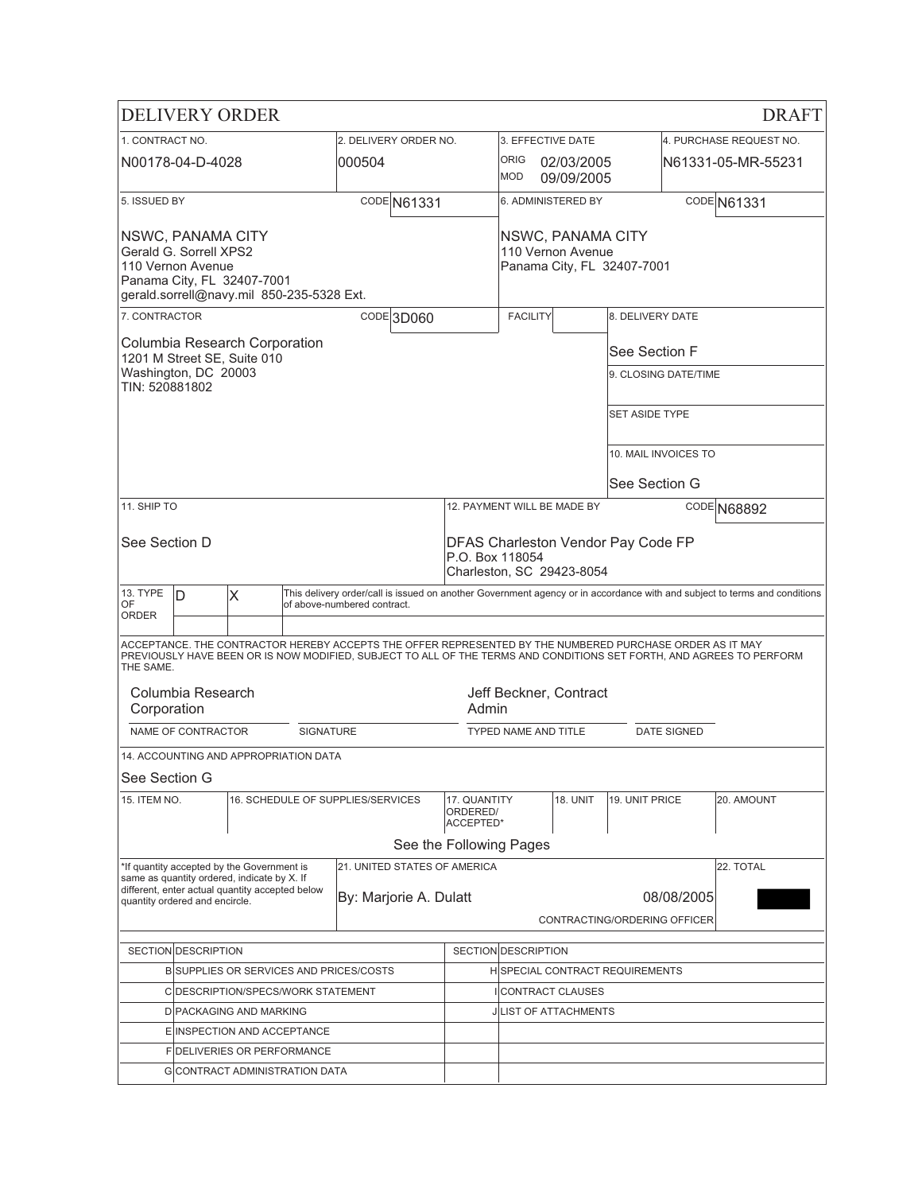|                                                                                                                                             | <b>DELIVERY ORDER</b>                                                                                                                                                                                                                         |                                                                                           |                                                                                    |                                        |                                       |                                        |                          |                                       |                    | <b>DRAFT</b>                                                                                                              |
|---------------------------------------------------------------------------------------------------------------------------------------------|-----------------------------------------------------------------------------------------------------------------------------------------------------------------------------------------------------------------------------------------------|-------------------------------------------------------------------------------------------|------------------------------------------------------------------------------------|----------------------------------------|---------------------------------------|----------------------------------------|--------------------------|---------------------------------------|--------------------|---------------------------------------------------------------------------------------------------------------------------|
| 1. CONTRACT NO.                                                                                                                             |                                                                                                                                                                                                                                               |                                                                                           |                                                                                    | 2. DELIVERY ORDER NO.                  |                                       | 3. EFFECTIVE DATE                      |                          |                                       |                    | 4. PURCHASE REQUEST NO.                                                                                                   |
|                                                                                                                                             | N00178-04-D-4028                                                                                                                                                                                                                              |                                                                                           |                                                                                    | 000504                                 |                                       | <b>ORIG</b><br><b>MOD</b>              | 02/03/2005<br>09/09/2005 |                                       |                    | N61331-05-MR-55231                                                                                                        |
| 5. ISSUED BY                                                                                                                                |                                                                                                                                                                                                                                               |                                                                                           |                                                                                    | CODE N61331                            |                                       | 6. ADMINISTERED BY                     |                          |                                       |                    | CODE N61331                                                                                                               |
| NSWC, PANAMA CITY<br>Gerald G. Sorrell XPS2<br>110 Vernon Avenue<br>Panama City, FL 32407-7001<br>gerald.sorrell@navy.mil 850-235-5328 Ext. |                                                                                                                                                                                                                                               |                                                                                           |                                                                                    | NSWC, PANAMA CITY<br>110 Vernon Avenue |                                       | Panama City, FL 32407-7001             |                          |                                       |                    |                                                                                                                           |
| 7. CONTRACTOR                                                                                                                               |                                                                                                                                                                                                                                               |                                                                                           |                                                                                    | CODE 3D060                             |                                       | <b>FACILITY</b>                        |                          | 8. DELIVERY DATE                      |                    |                                                                                                                           |
| TIN: 520881802                                                                                                                              | Washington, DC 20003                                                                                                                                                                                                                          | Columbia Research Corporation<br>1201 M Street SE, Suite 010                              |                                                                                    |                                        |                                       |                                        |                          | See Section F<br>9. CLOSING DATE/TIME |                    |                                                                                                                           |
|                                                                                                                                             |                                                                                                                                                                                                                                               |                                                                                           |                                                                                    |                                        |                                       |                                        |                          | <b>SET ASIDE TYPE</b>                 |                    |                                                                                                                           |
|                                                                                                                                             |                                                                                                                                                                                                                                               |                                                                                           |                                                                                    |                                        |                                       |                                        |                          | 10. MAIL INVOICES TO                  |                    |                                                                                                                           |
|                                                                                                                                             |                                                                                                                                                                                                                                               |                                                                                           |                                                                                    |                                        |                                       |                                        |                          | See Section G                         |                    |                                                                                                                           |
| 11. SHIP TO                                                                                                                                 |                                                                                                                                                                                                                                               |                                                                                           |                                                                                    |                                        |                                       | 12. PAYMENT WILL BE MADE BY            |                          |                                       |                    | CODE N68892                                                                                                               |
| See Section D                                                                                                                               |                                                                                                                                                                                                                                               |                                                                                           | DFAS Charleston Vendor Pay Code FP<br>P.O. Box 118054<br>Charleston, SC 29423-8054 |                                        |                                       |                                        |                          |                                       |                    |                                                                                                                           |
| 13. TYPE                                                                                                                                    | ID                                                                                                                                                                                                                                            | X                                                                                         |                                                                                    |                                        |                                       |                                        |                          |                                       |                    | This delivery order/call is issued on another Government agency or in accordance with and subject to terms and conditions |
| OF<br><b>ORDER</b>                                                                                                                          |                                                                                                                                                                                                                                               |                                                                                           |                                                                                    | of above-numbered contract.            |                                       |                                        |                          |                                       |                    |                                                                                                                           |
|                                                                                                                                             | ACCEPTANCE. THE CONTRACTOR HEREBY ACCEPTS THE OFFER REPRESENTED BY THE NUMBERED PURCHASE ORDER AS IT MAY<br>PREVIOUSLY HAVE BEEN OR IS NOW MODIFIED, SUBJECT TO ALL OF THE TERMS AND CONDITIONS SET FORTH, AND AGREES TO PERFORM<br>THE SAME. |                                                                                           |                                                                                    |                                        |                                       |                                        |                          |                                       |                    |                                                                                                                           |
| Corporation                                                                                                                                 | Columbia Research                                                                                                                                                                                                                             |                                                                                           |                                                                                    |                                        | Admin                                 | Jeff Beckner, Contract                 |                          |                                       |                    |                                                                                                                           |
|                                                                                                                                             | NAME OF CONTRACTOR                                                                                                                                                                                                                            |                                                                                           | <b>SIGNATURE</b>                                                                   |                                        |                                       | <b>TYPED NAME AND TITLE</b>            |                          |                                       | <b>DATE SIGNED</b> |                                                                                                                           |
|                                                                                                                                             |                                                                                                                                                                                                                                               | 14. ACCOUNTING AND APPROPRIATION DATA                                                     |                                                                                    |                                        |                                       |                                        |                          |                                       |                    |                                                                                                                           |
| See Section G                                                                                                                               |                                                                                                                                                                                                                                               |                                                                                           |                                                                                    |                                        |                                       |                                        |                          |                                       |                    |                                                                                                                           |
| 15. ITEM NO.                                                                                                                                |                                                                                                                                                                                                                                               |                                                                                           |                                                                                    | 16. SCHEDULE OF SUPPLIES/SERVICES      | 17. QUANTITY<br>ORDERED/<br>ACCEPTED* |                                        | <b>18. UNIT</b>          | 19. UNIT PRICE                        |                    | 20. AMOUNT                                                                                                                |
|                                                                                                                                             |                                                                                                                                                                                                                                               |                                                                                           |                                                                                    |                                        | See the Following Pages               |                                        |                          |                                       |                    |                                                                                                                           |
|                                                                                                                                             |                                                                                                                                                                                                                                               | *If quantity accepted by the Government is<br>same as quantity ordered, indicate by X. If |                                                                                    | 21. UNITED STATES OF AMERICA           |                                       |                                        |                          |                                       |                    | 22. TOTAL                                                                                                                 |
|                                                                                                                                             | quantity ordered and encircle.                                                                                                                                                                                                                | different, enter actual quantity accepted below                                           |                                                                                    | By: Marjorie A. Dulatt                 |                                       |                                        |                          |                                       | 08/08/2005         |                                                                                                                           |
|                                                                                                                                             |                                                                                                                                                                                                                                               |                                                                                           |                                                                                    |                                        |                                       |                                        |                          | CONTRACTING/ORDERING OFFICER          |                    |                                                                                                                           |
|                                                                                                                                             | SECTION DESCRIPTION<br>SECTION DESCRIPTION                                                                                                                                                                                                    |                                                                                           |                                                                                    |                                        |                                       |                                        |                          |                                       |                    |                                                                                                                           |
| BISUPPLIES OR SERVICES AND PRICES/COSTS                                                                                                     |                                                                                                                                                                                                                                               |                                                                                           |                                                                                    |                                        |                                       | <b>HISPECIAL CONTRACT REQUIREMENTS</b> |                          |                                       |                    |                                                                                                                           |
|                                                                                                                                             |                                                                                                                                                                                                                                               | C DESCRIPTION/SPECS/WORK STATEMENT                                                        |                                                                                    |                                        |                                       | CONTRACT CLAUSES                       |                          |                                       |                    |                                                                                                                           |
|                                                                                                                                             |                                                                                                                                                                                                                                               | <b>D</b> PACKAGING AND MARKING                                                            |                                                                                    |                                        |                                       | <b>JILIST OF ATTACHMENTS</b>           |                          |                                       |                    |                                                                                                                           |
|                                                                                                                                             |                                                                                                                                                                                                                                               | E INSPECTION AND ACCEPTANCE                                                               |                                                                                    |                                        |                                       |                                        |                          |                                       |                    |                                                                                                                           |
|                                                                                                                                             |                                                                                                                                                                                                                                               | FIDELIVERIES OR PERFORMANCE                                                               |                                                                                    |                                        |                                       |                                        |                          |                                       |                    |                                                                                                                           |
|                                                                                                                                             |                                                                                                                                                                                                                                               |                                                                                           |                                                                                    | <b>G</b> CONTRACT ADMINISTRATION DATA  |                                       |                                        |                          |                                       |                    |                                                                                                                           |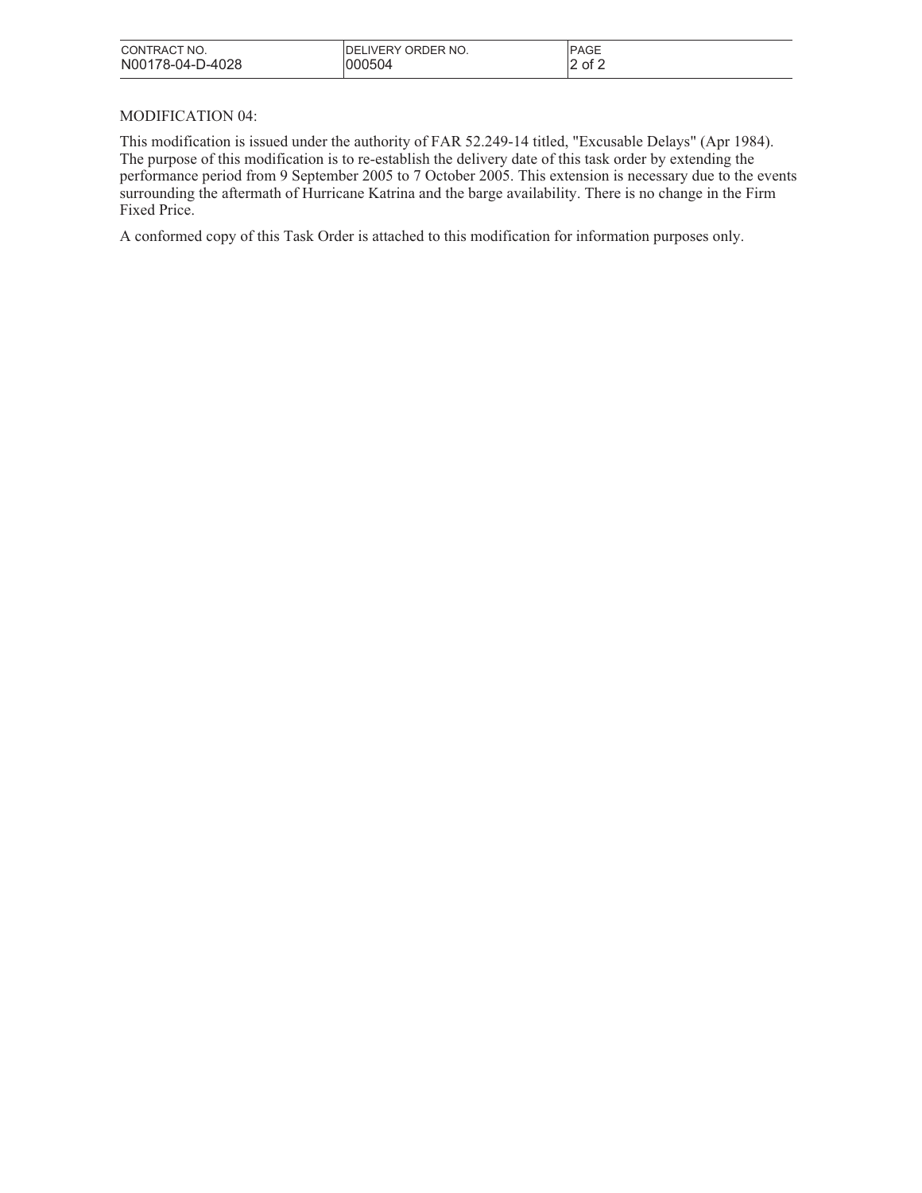| CONTRACT NO.     | <b>IDELIVERY ORDER NO.</b> | <b>PAGE</b> |
|------------------|----------------------------|-------------|
| N00178-04-D-4028 | 000504                     | 2<br>of 2   |

## MODIFICATION 04:

This modification is issued under the authority of FAR 52.249-14 titled, "Excusable Delays" (Apr 1984). The purpose of this modification is to re-establish the delivery date of this task order by extending the performance period from 9 September 2005 to 7 October 2005. This extension is necessary due to the events surrounding the aftermath of Hurricane Katrina and the barge availability. There is no change in the Firm Fixed Price.

A conformed copy of this Task Order is attached to this modification for information purposes only.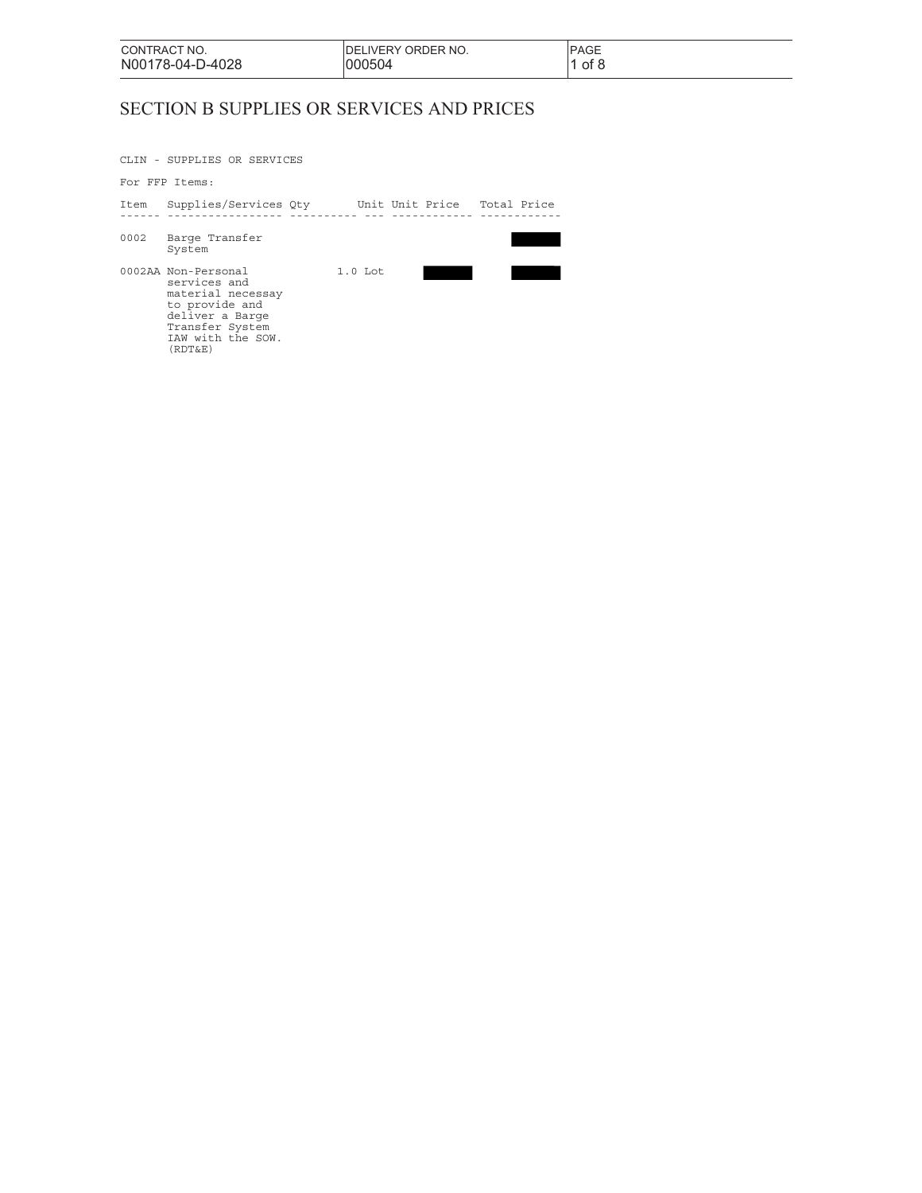| CONTRACT NO.     | IDELIVERY ORDER NO. | <b>PAGE</b> |
|------------------|---------------------|-------------|
| N00178-04-D-4028 | 000504              | of 8        |

# SECTION B SUPPLIES OR SERVICES AND PRICES

CLIN - SUPPLIES OR SERVICES

#### For FFP Items:

| Item | Supplies/Services Qty                                                                                                                            |           | Unit Unit Price Total Price |  |
|------|--------------------------------------------------------------------------------------------------------------------------------------------------|-----------|-----------------------------|--|
| 0002 | Barge Transfer<br>System                                                                                                                         |           |                             |  |
|      | 0002AA Non-Personal<br>services and<br>material necessay<br>to provide and<br>deliver a Barge<br>Transfer System<br>IAW with the SOW.<br>(RDT&E) | $1.0$ Lot |                             |  |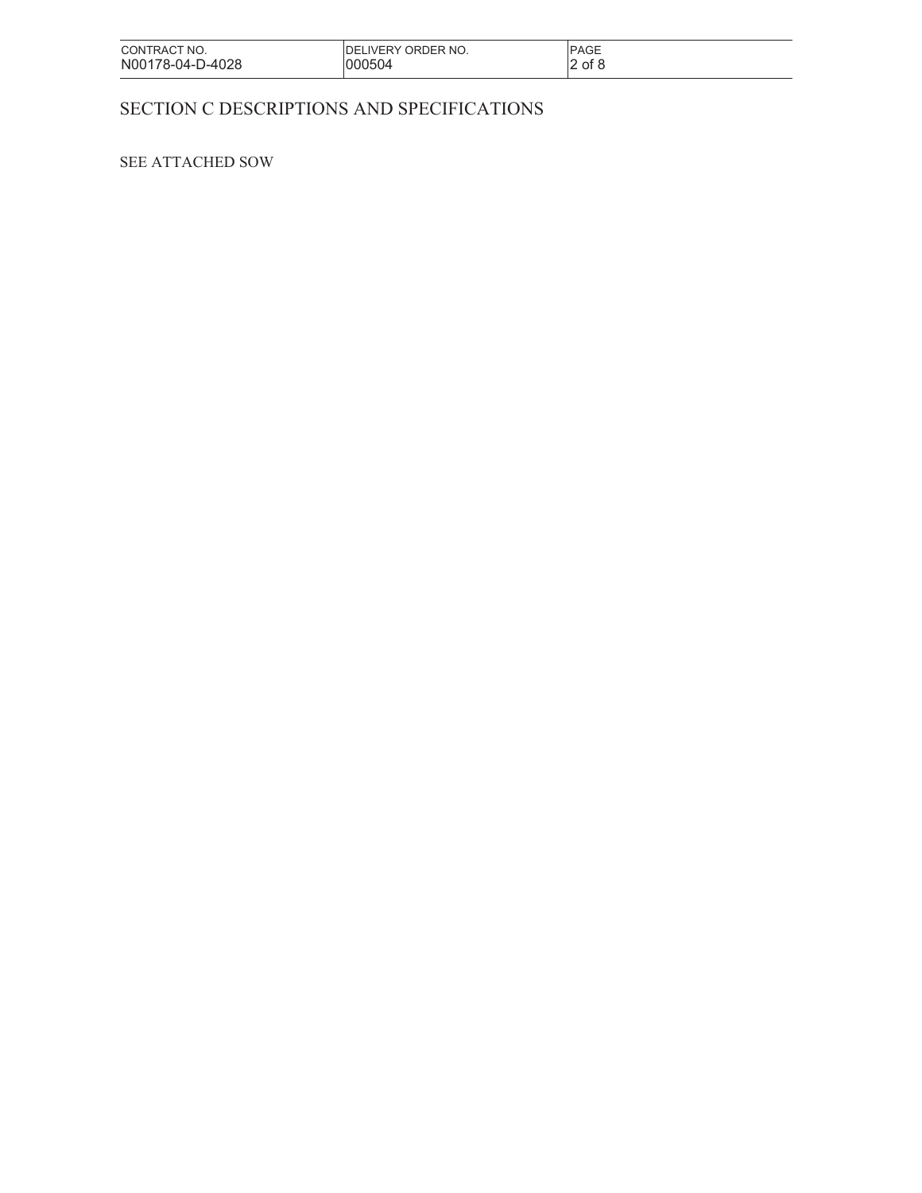| CONTRACT NO.     | IDELIVERY ORDER NO. | <b>PAGE</b> |
|------------------|---------------------|-------------|
| N00178-04-D-4028 | 000504              | $2$ of 8    |

## SECTION C DESCRIPTIONS AND SPECIFICATIONS

## SEE ATTACHED SOW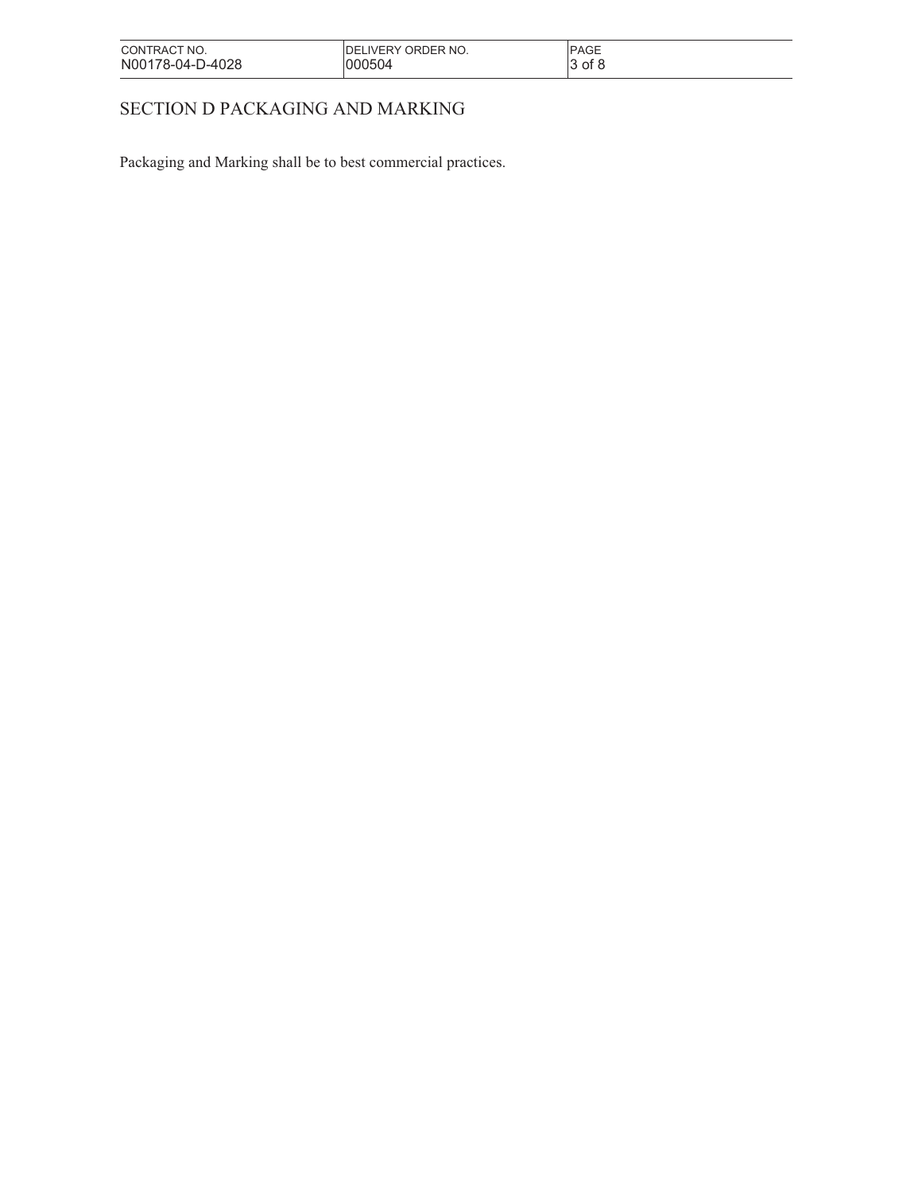| CONTRACT NO.     | IDELIVERY ORDER NO. | <b>PAGE</b> |
|------------------|---------------------|-------------|
| N00178-04-D-4028 | 000504              | 3 of 8      |

# SECTION D PACKAGING AND MARKING

Packaging and Marking shall be to best commercial practices.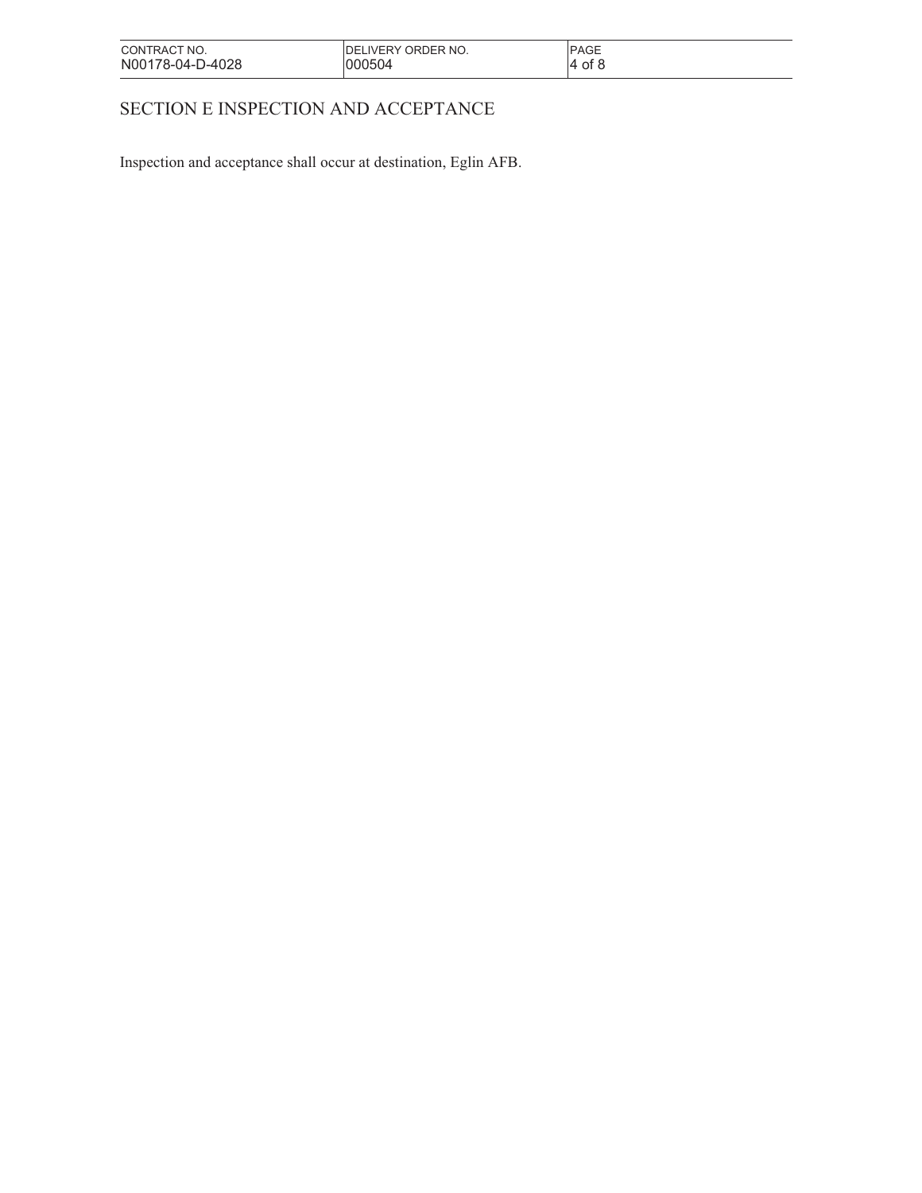| CONTRACT NO.     | <b>IDELIVERY ORDER NO.</b> | <b>PAGE</b> |
|------------------|----------------------------|-------------|
| N00178-04-D-4028 | 000504                     | 4 of &      |

# SECTION E INSPECTION AND ACCEPTANCE

Inspection and acceptance shall occur at destination, Eglin AFB.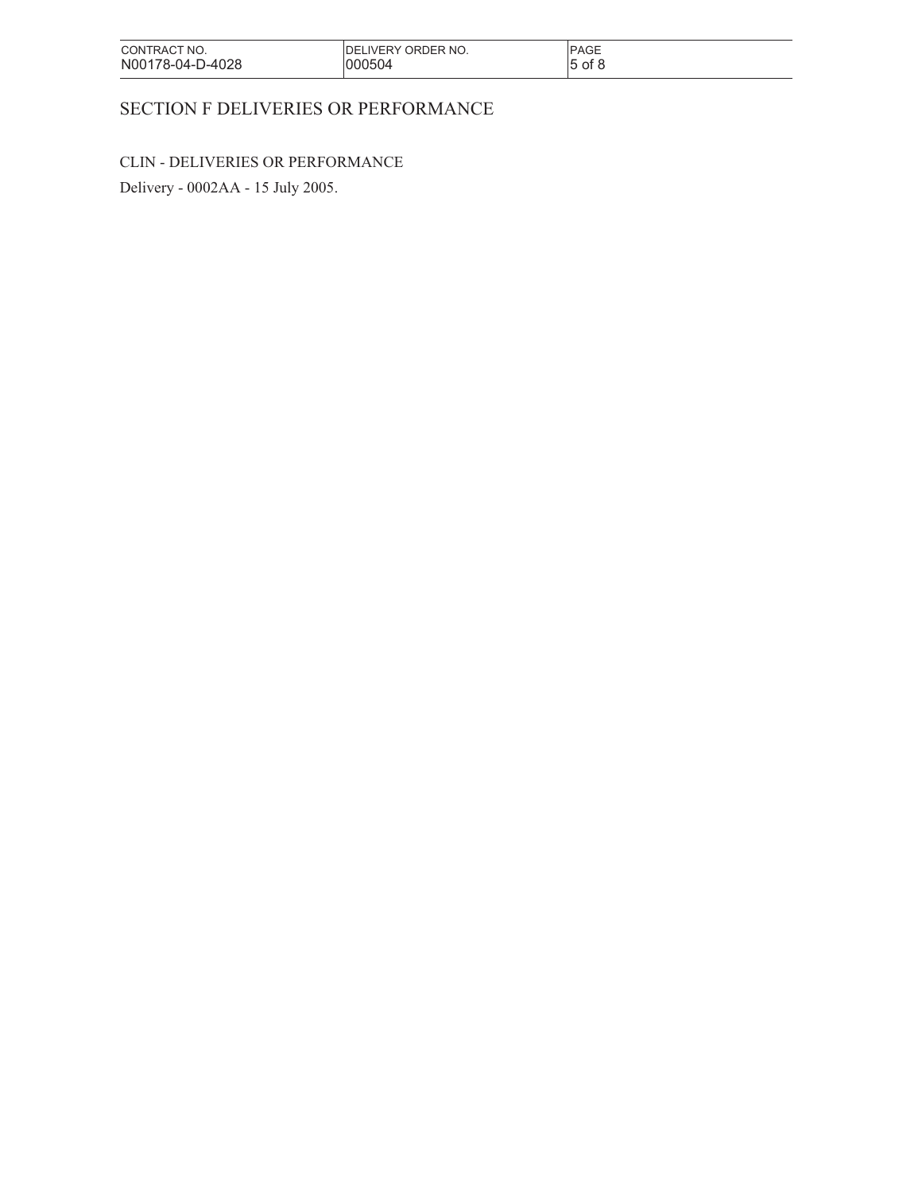| CONTRACT NO.     | IDELIVERY ORDER NO. | <b>PAGE</b> |
|------------------|---------------------|-------------|
| N00178-04-D-4028 | 000504              | of 8        |
|                  |                     | 15          |

# SECTION F DELIVERIES OR PERFORMANCE

# CLIN - DELIVERIES OR PERFORMANCE

Delivery - 0002AA - 15 July 2005.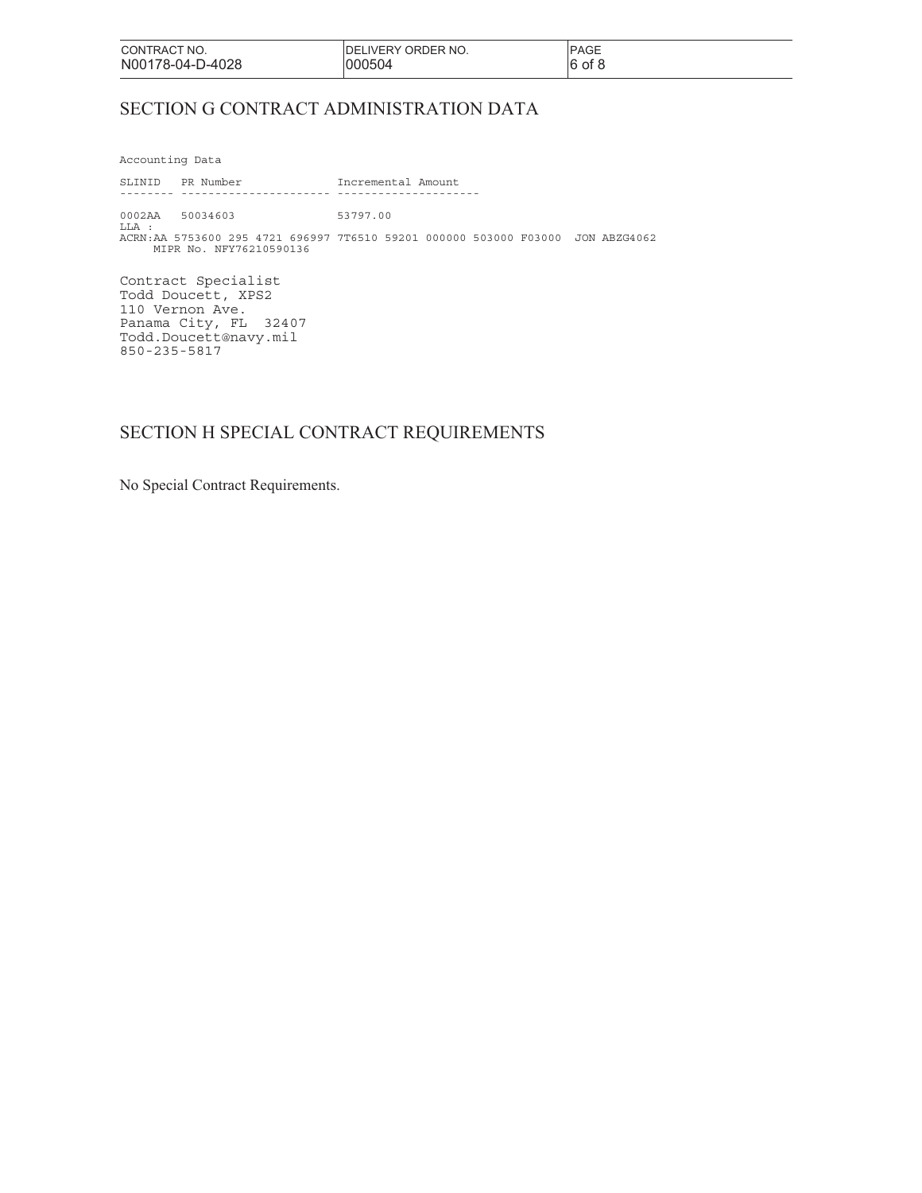| CONTRACT NO.     | <b>IDELIVERY ORDER NO.</b> | <b>PAGE</b> |
|------------------|----------------------------|-------------|
| N00178-04-D-4028 | 1000504                    | 16<br>of 8  |

## SECTION G CONTRACT ADMINISTRATION DATA

Accounting Data

SLINID PR Number Incremental Amount -------- ---------------------- --------------------- 0002AA 50034603 53797.00 LLA : ACRN:AA 5753600 295 4721 696997 7T6510 59201 000000 503000 F03000 JON ABZG4062 MIPR No. NFY76210590136

Contract Specialist Todd Doucett, XPS2 110 Vernon Ave. Panama City, FL 32407 Todd.Doucett@navy.mil 850-235-5817

## SECTION H SPECIAL CONTRACT REQUIREMENTS

No Special Contract Requirements.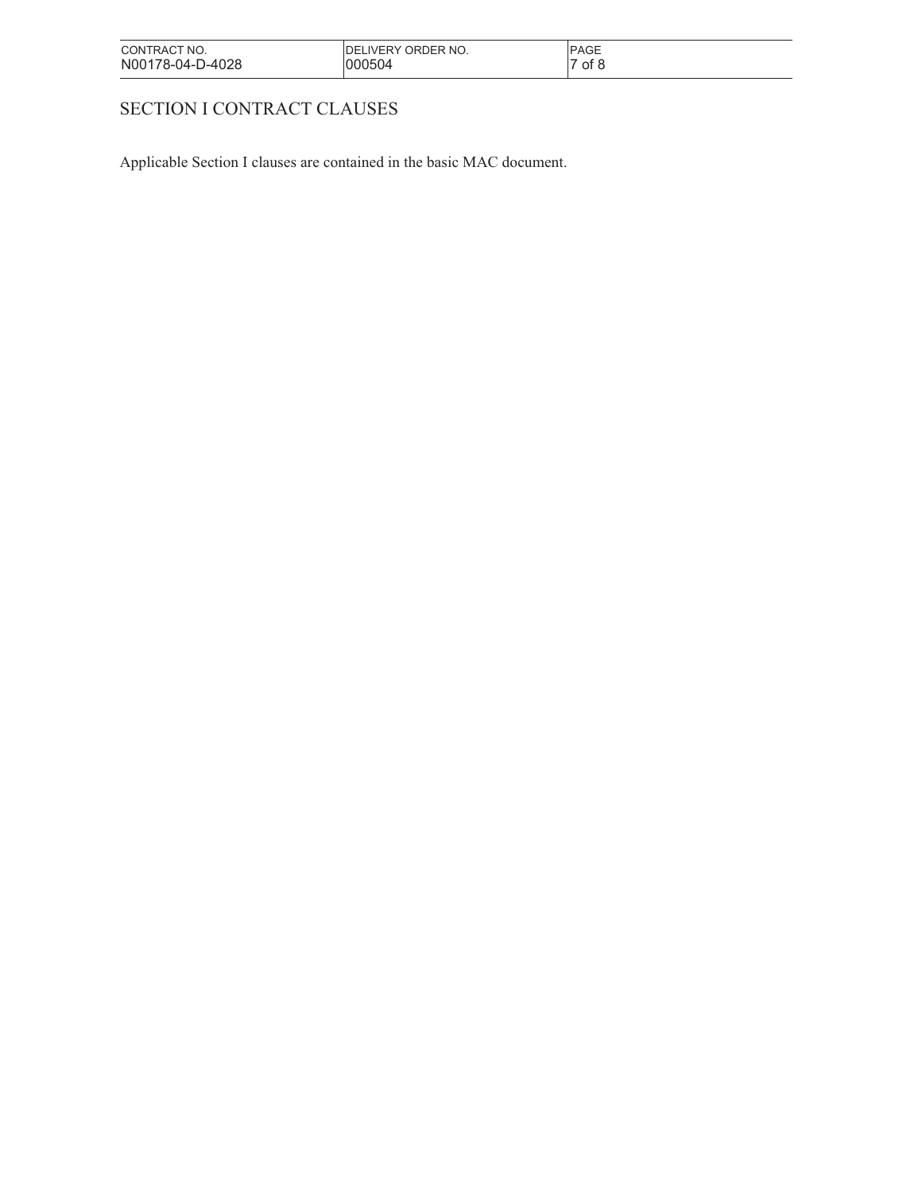| CONTRACT NO.     | IDELIVERY ORDER NO. | <b>PAGE</b> |
|------------------|---------------------|-------------|
| N00178-04-D-4028 | 000504              | of 8        |

# SECTION I CONTRACT CLAUSES

Applicable Section I clauses are contained in the basic MAC document.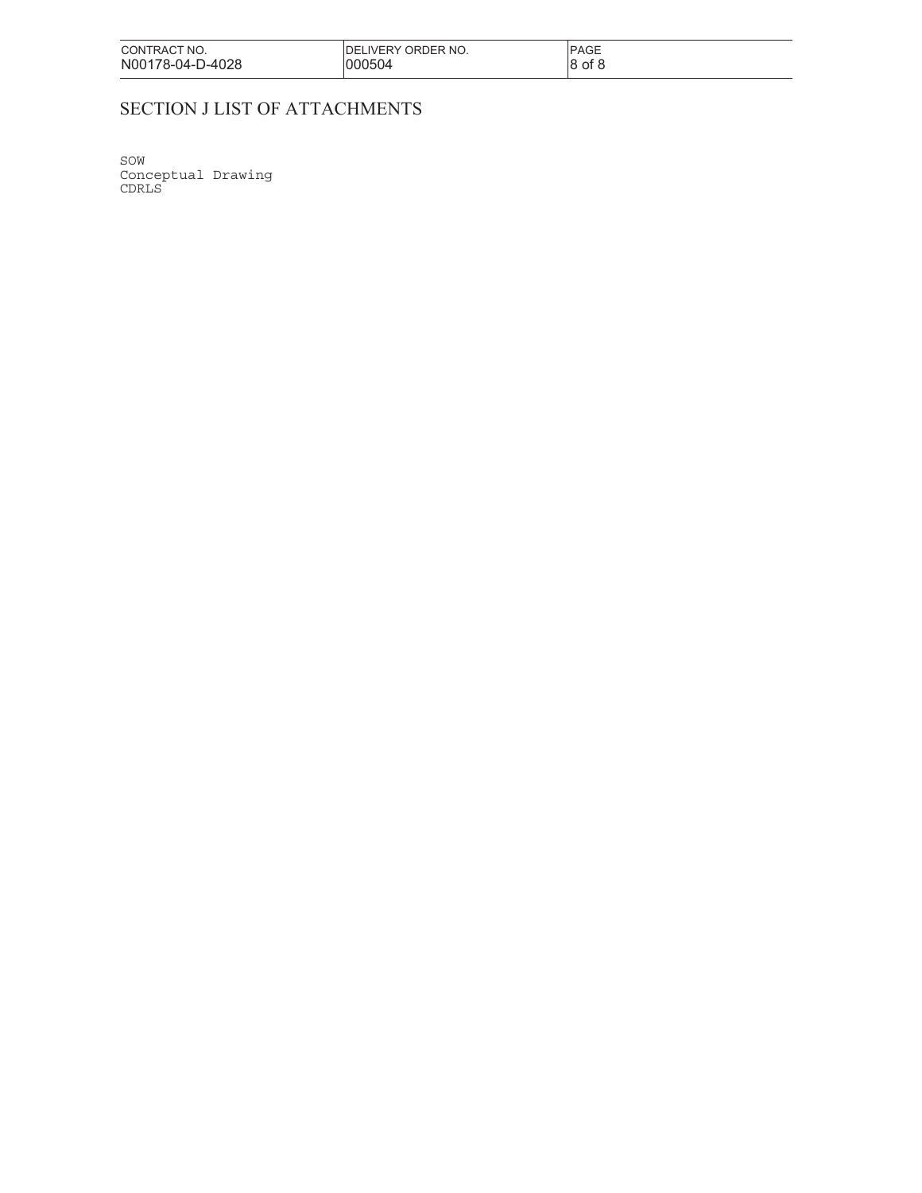| CONTRACT NO.     | IDELIVERY ORDER NO. | <b>IPAGE</b> |
|------------------|---------------------|--------------|
| N00178-04-D-4028 | 000504              | 8 of 8       |

# SECTION J LIST OF ATTACHMENTS

SOW Conceptual Drawing CDRLS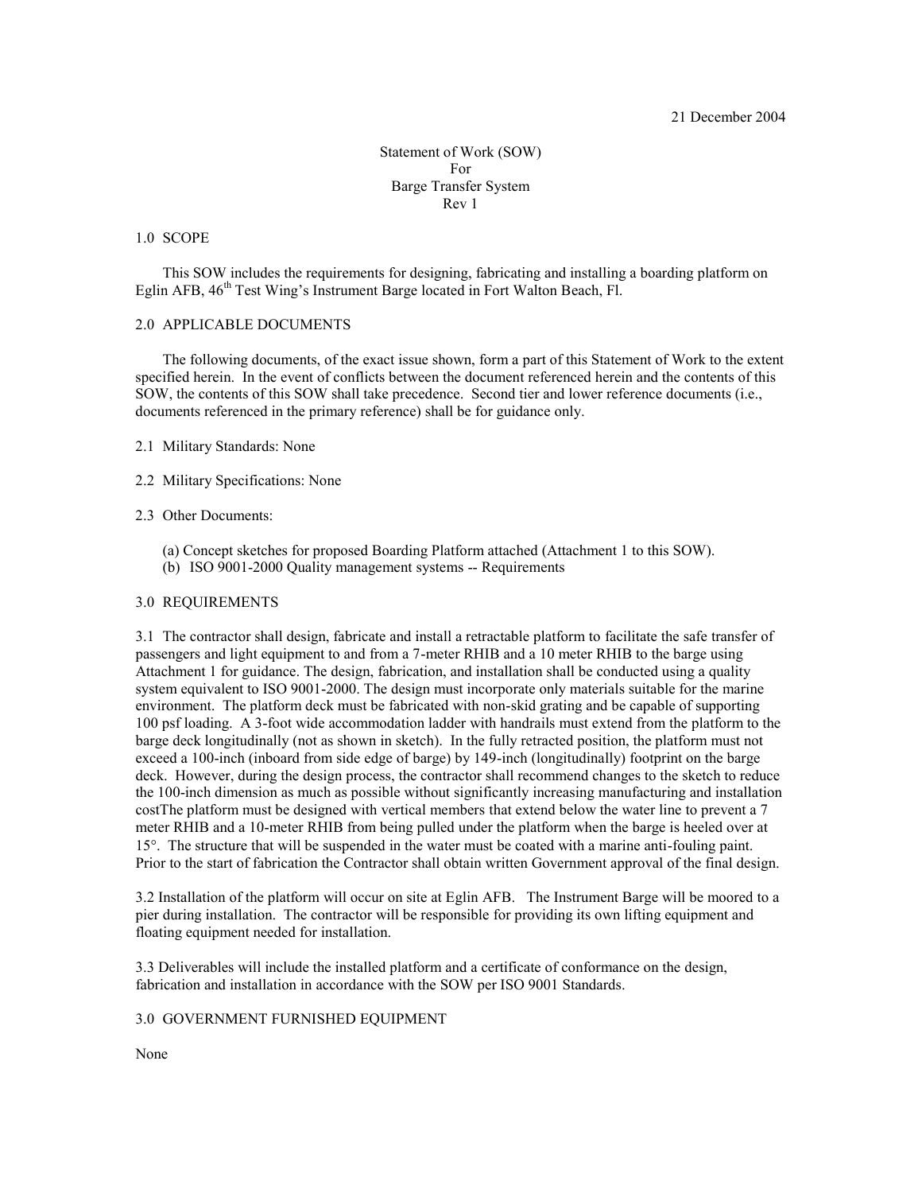#### 21 December 2004

Statement of Work (SOW) For Barge Transfer System Rev 1

#### 1.0 SCOPE

 This SOW includes the requirements for designing, fabricating and installing a boarding platform on Eglin AFB, 46<sup>th</sup> Test Wing's Instrument Barge located in Fort Walton Beach, Fl.

### 2.0 APPLICABLE DOCUMENTS

 The following documents, of the exact issue shown, form a part of this Statement of Work to the extent specified herein. In the event of conflicts between the document referenced herein and the contents of this SOW, the contents of this SOW shall take precedence. Second tier and lower reference documents (i.e., documents referenced in the primary reference) shall be for guidance only.

#### 2.1 Military Standards: None

2.2 Military Specifications: None

#### 2.3 Other Documents:

- (a) Concept sketches for proposed Boarding Platform attached (Attachment 1 to this SOW).
- (b) ISO 9001-2000 Quality management systems -- Requirements

#### 3.0 REQUIREMENTS

3.1 The contractor shall design, fabricate and install a retractable platform to facilitate the safe transfer of passengers and light equipment to and from a 7-meter RHIB and a 10 meter RHIB to the barge using Attachment 1 for guidance. The design, fabrication, and installation shall be conducted using a quality system equivalent to ISO 9001-2000. The design must incorporate only materials suitable for the marine environment. The platform deck must be fabricated with non-skid grating and be capable of supporting 100 psf loading. A 3-foot wide accommodation ladder with handrails must extend from the platform to the barge deck longitudinally (not as shown in sketch). In the fully retracted position, the platform must not exceed a 100-inch (inboard from side edge of barge) by 149-inch (longitudinally) footprint on the barge deck. However, during the design process, the contractor shall recommend changes to the sketch to reduce the 100-inch dimension as much as possible without significantly increasing manufacturing and installation costThe platform must be designed with vertical members that extend below the water line to prevent a 7 meter RHIB and a 10-meter RHIB from being pulled under the platform when the barge is heeled over at 15°. The structure that will be suspended in the water must be coated with a marine anti-fouling paint. Prior to the start of fabrication the Contractor shall obtain written Government approval of the final design.

3.2 Installation of the platform will occur on site at Eglin AFB. The Instrument Barge will be moored to a pier during installation. The contractor will be responsible for providing its own lifting equipment and floating equipment needed for installation.

3.3 Deliverables will include the installed platform and a certificate of conformance on the design, fabrication and installation in accordance with the SOW per ISO 9001 Standards.

### 3.0 GOVERNMENT FURNISHED EQUIPMENT

None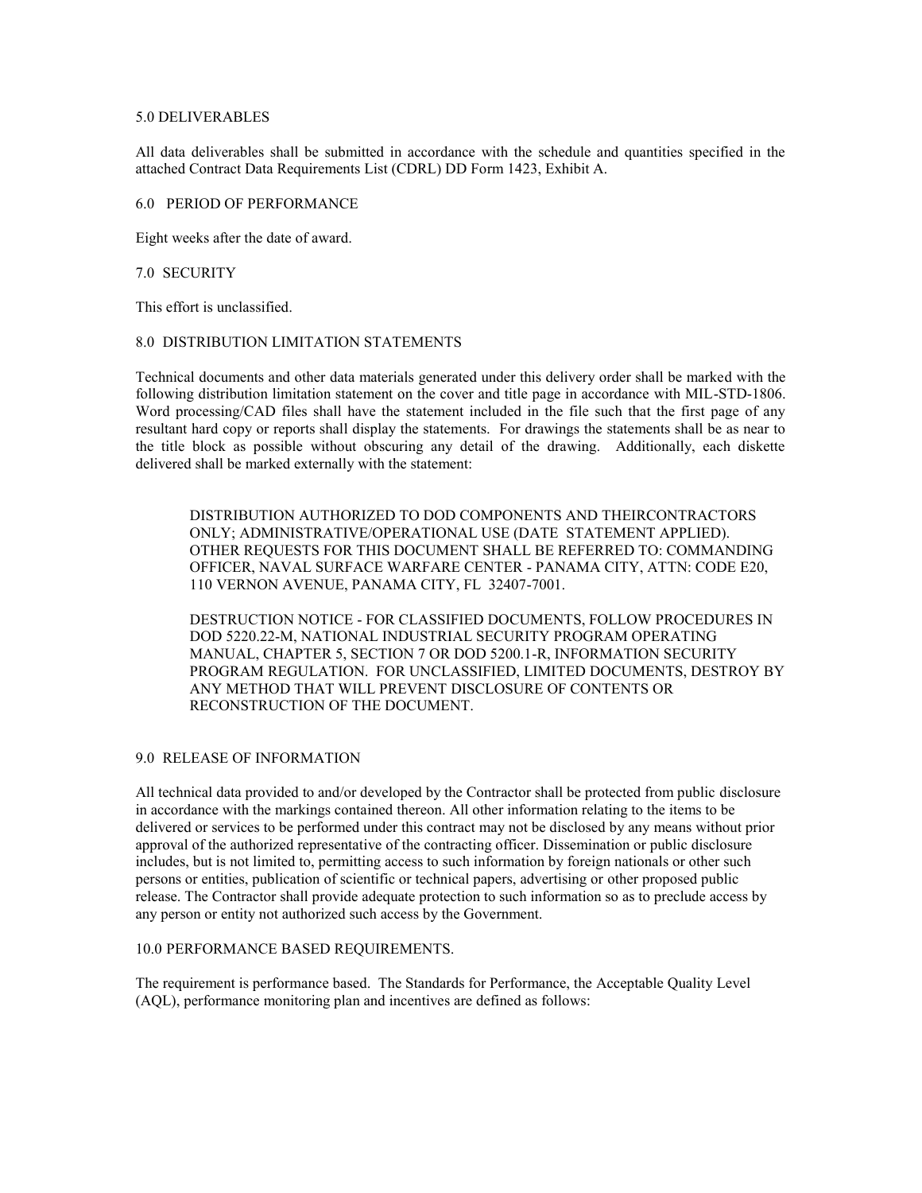#### 5.0 DELIVERABLES

All data deliverables shall be submitted in accordance with the schedule and quantities specified in the attached Contract Data Requirements List (CDRL) DD Form 1423, Exhibit A.

#### 6.0 PERIOD OF PERFORMANCE

Eight weeks after the date of award.

#### 7.0 SECURITY

This effort is unclassified.

#### 8.0 DISTRIBUTION LIMITATION STATEMENTS

Technical documents and other data materials generated under this delivery order shall be marked with the following distribution limitation statement on the cover and title page in accordance with MIL-STD-1806. Word processing/CAD files shall have the statement included in the file such that the first page of any resultant hard copy or reports shall display the statements. For drawings the statements shall be as near to the title block as possible without obscuring any detail of the drawing. Additionally, each diskette delivered shall be marked externally with the statement:

DISTRIBUTION AUTHORIZED TO DOD COMPONENTS AND THEIRCONTRACTORS ONLY; ADMINISTRATIVE/OPERATIONAL USE (DATE STATEMENT APPLIED). OTHER REQUESTS FOR THIS DOCUMENT SHALL BE REFERRED TO: COMMANDING OFFICER, NAVAL SURFACE WARFARE CENTER - PANAMA CITY, ATTN: CODE E20, 110 VERNON AVENUE, PANAMA CITY, FL 32407-7001.

DESTRUCTION NOTICE - FOR CLASSIFIED DOCUMENTS, FOLLOW PROCEDURES IN DOD 5220.22-M, NATIONAL INDUSTRIAL SECURITY PROGRAM OPERATING MANUAL, CHAPTER 5, SECTION 7 OR DOD 5200.1-R, INFORMATION SECURITY PROGRAM REGULATION. FOR UNCLASSIFIED, LIMITED DOCUMENTS, DESTROY BY ANY METHOD THAT WILL PREVENT DISCLOSURE OF CONTENTS OR RECONSTRUCTION OF THE DOCUMENT.

### 9.0 RELEASE OF INFORMATION

All technical data provided to and/or developed by the Contractor shall be protected from public disclosure in accordance with the markings contained thereon. All other information relating to the items to be delivered or services to be performed under this contract may not be disclosed by any means without prior approval of the authorized representative of the contracting officer. Dissemination or public disclosure includes, but is not limited to, permitting access to such information by foreign nationals or other such persons or entities, publication of scientific or technical papers, advertising or other proposed public release. The Contractor shall provide adequate protection to such information so as to preclude access by any person or entity not authorized such access by the Government.

### 10.0 PERFORMANCE BASED REQUIREMENTS.

The requirement is performance based. The Standards for Performance, the Acceptable Quality Level (AQL), performance monitoring plan and incentives are defined as follows: